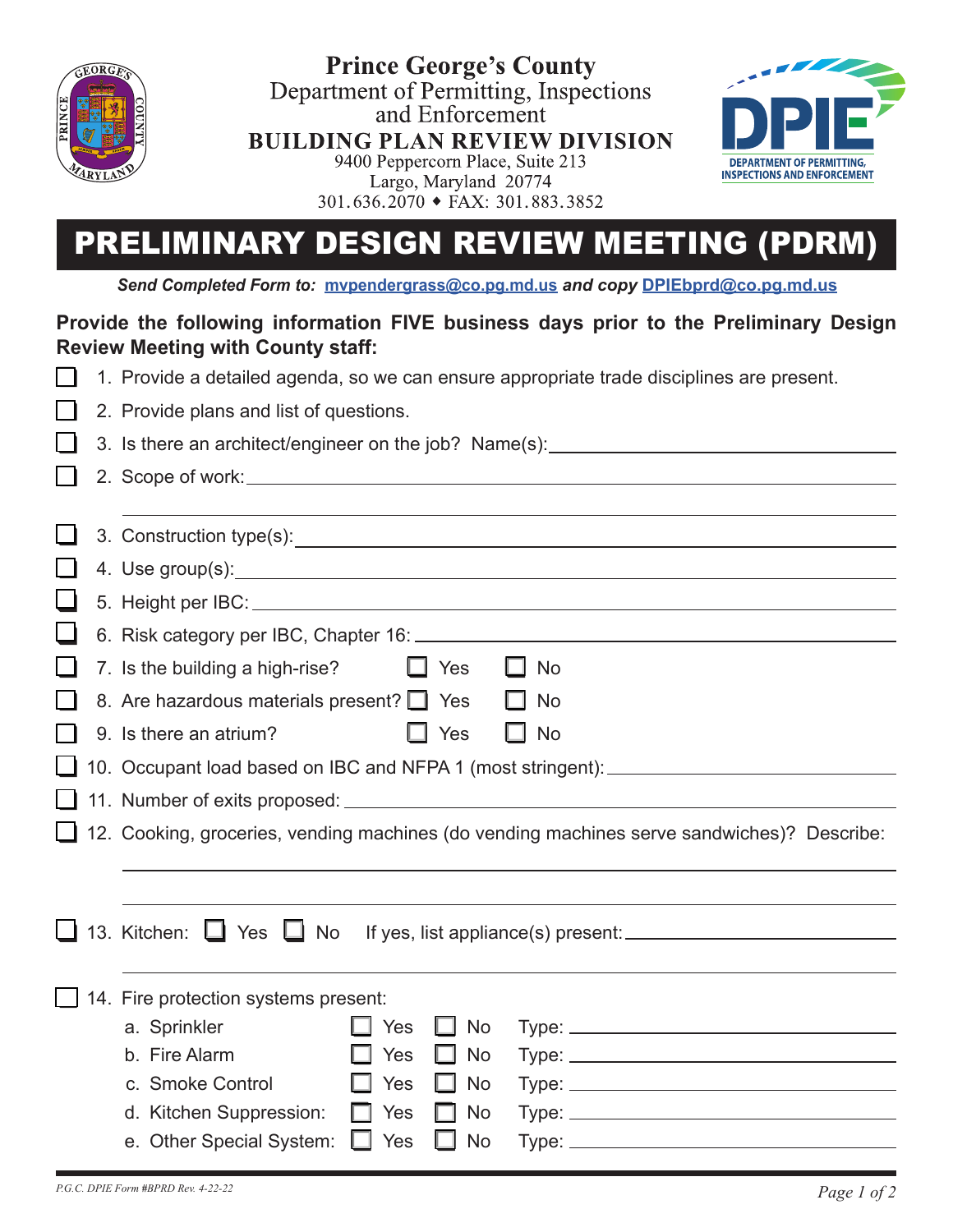

**Prince George's County** Department of Permitting, Inspections and Enforcement **BUILDING PLAN REVIEW DIVISION** 9400 Peppercorn Place, Suite 213 Largo, Maryland 20774  $301.636.2070 \cdot \text{FAX}: 301.883.3852$ 



# PRELIMINARY DESIGN REVIEW MEETING (PDRM)

*Send Completed Form to:* **mvpendergrass[@co.pg.md.us](http://DPIEDrainage@co.pg.md.us)** *and copy* **DPI[Ebprd@co.pg.md.us](mailto:dpiebprd%40co.pg.md.us?subject=)**

### **Provide the following information FIVE business days prior to the Preliminary Design Review Meeting with County staff:**

|  | 1. Provide a detailed agenda, so we can ensure appropriate trade disciplines are present.  |
|--|--------------------------------------------------------------------------------------------|
|  | 2. Provide plans and list of questions.                                                    |
|  | 3. Is there an architect/engineer on the job? Name(s): _________________________           |
|  |                                                                                            |
|  |                                                                                            |
|  |                                                                                            |
|  |                                                                                            |
|  |                                                                                            |
|  |                                                                                            |
|  | 7. Is the building a high-rise?<br>$\Box$ Yes<br>No                                        |
|  | 8. Are hazardous materials present? <sup>1</sup><br><b>No</b>                              |
|  | $\Box$ Yes<br>9. Is there an atrium?<br><b>No</b>                                          |
|  | 10. Occupant load based on IBC and NFPA 1 (most stringent): ____________________           |
|  |                                                                                            |
|  | 12. Cooking, groceries, vending machines (do vending machines serve sandwiches)? Describe: |
|  |                                                                                            |
|  |                                                                                            |
|  | 13. Kitchen: Yes No                                                                        |
|  |                                                                                            |
|  | 14. Fire protection systems present:                                                       |
|  | a. Sprinkler<br>Yes<br><b>No</b>                                                           |
|  | b. Fire Alarm<br>Yes<br><b>No</b><br>H                                                     |
|  | c. Smoke Control<br>Yes<br>No                                                              |
|  | d. Kitchen Suppression:<br>Yes<br>No                                                       |
|  | e. Other Special System:<br>No<br>Yes                                                      |